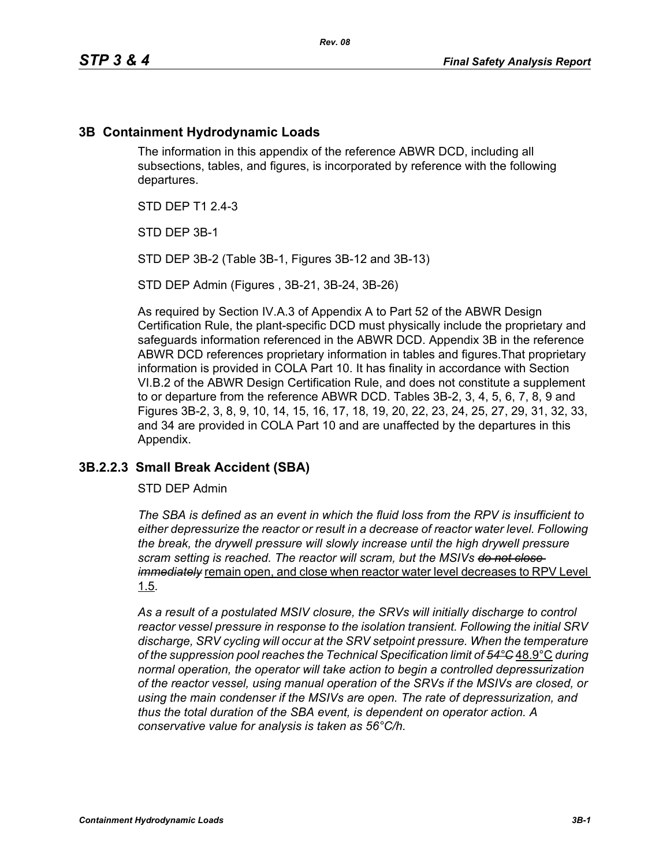## **3B Containment Hydrodynamic Loads**

The information in this appendix of the reference ABWR DCD, including all subsections, tables, and figures, is incorporated by reference with the following departures.

STD DEP T1 2.4-3

STD DEP 3B-1

STD DEP 3B-2 (Table 3B-1, Figures 3B-12 and 3B-13)

STD DEP Admin (Figures , 3B-21, 3B-24, 3B-26)

As required by Section IV.A.3 of Appendix A to Part 52 of the ABWR Design Certification Rule, the plant-specific DCD must physically include the proprietary and safeguards information referenced in the ABWR DCD. Appendix 3B in the reference ABWR DCD references proprietary information in tables and figures.That proprietary information is provided in COLA Part 10. It has finality in accordance with Section VI.B.2 of the ABWR Design Certification Rule, and does not constitute a supplement to or departure from the reference ABWR DCD. Tables 3B-2, 3, 4, 5, 6, 7, 8, 9 and Figures 3B-2, 3, 8, 9, 10, 14, 15, 16, 17, 18, 19, 20, 22, 23, 24, 25, 27, 29, 31, 32, 33, and 34 are provided in COLA Part 10 and are unaffected by the departures in this Appendix.

#### **3B.2.2.3 Small Break Accident (SBA)**

STD DEP Admin

*The SBA is defined as an event in which the fluid loss from the RPV is insufficient to either depressurize the reactor or result in a decrease of reactor water level. Following the break, the drywell pressure will slowly increase until the high drywell pressure scram setting is reached. The reactor will scram, but the MSIVs do not close immediately* remain open, and close when reactor water level decreases to RPV Level 1.5.

*As a result of a postulated MSIV closure, the SRVs will initially discharge to control reactor vessel pressure in response to the isolation transient. Following the initial SRV discharge, SRV cycling will occur at the SRV setpoint pressure. When the temperature of the suppression pool reaches the Technical Specification limit of 54°C* 48.9°C *during normal operation, the operator will take action to begin a controlled depressurization of the reactor vessel, using manual operation of the SRVs if the MSIVs are closed, or using the main condenser if the MSIVs are open. The rate of depressurization, and thus the total duration of the SBA event, is dependent on operator action. A conservative value for analysis is taken as 56°C/h.*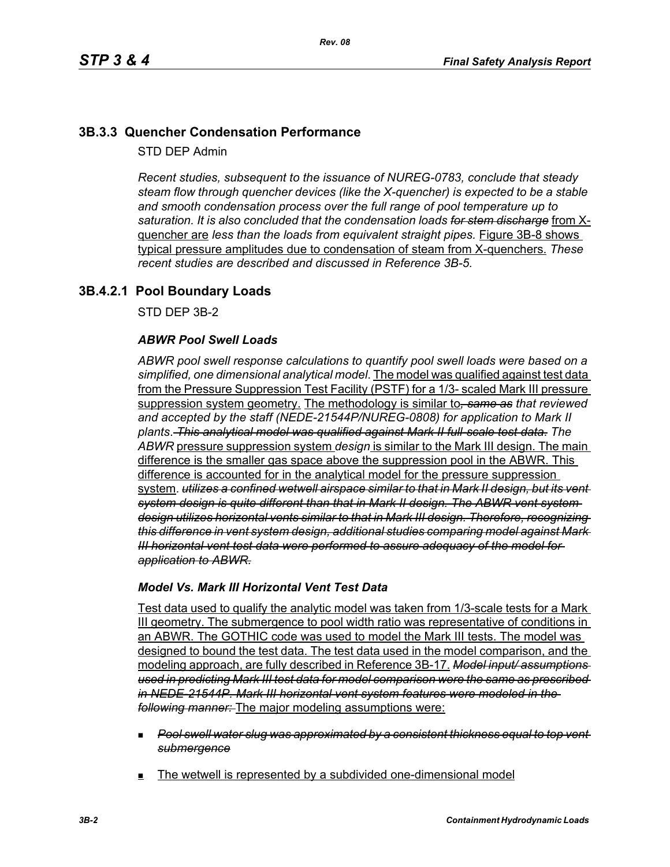# **3B.3.3 Quencher Condensation Performance**

STD DEP Admin

*Recent studies, subsequent to the issuance of NUREG-0783, conclude that steady steam flow through quencher devices (like the X-quencher) is expected to be a stable and smooth condensation process over the full range of pool temperature up to saturation. It is also concluded that the condensation loads for stem discharge* from Xquencher are *less than the loads from equivalent straight pipes.* Figure 3B-8 shows typical pressure amplitudes due to condensation of steam from X-quenchers. *These recent studies are described and discussed in Reference 3B-5.*

# **3B.4.2.1 Pool Boundary Loads**

STD DEP 3B-2

#### *ABWR Pool Swell Loads*

*ABWR pool swell response calculations to quantify pool swell loads were based on a simplified, one dimensional analytical model*. The model was qualified against test data from the Pressure Suppression Test Facility (PSTF) for a 1/3- scaled Mark III pressure suppression system geometry. The methodology is similar to*, same as that reviewed and accepted by the staff (NEDE-21544P/NUREG-0808) for application to Mark II plants*. *This analytical model was qualified against Mark II full-scale test data*. *The ABWR* pressure suppression system *design* is similar to the Mark III design. The main difference is the smaller gas space above the suppression pool in the ABWR. This difference is accounted for in the analytical model for the pressure suppression system. *utilizes a confined wetwell airspace similar to that in Mark II design, but its vent system design is quite different than that in Mark II design. The ABWR vent system design utilizes horizontal vents similar to that in Mark III design. Therefore, recognizing this difference in vent system design, additional studies comparing model against Mark III horizontal vent test data were performed to assure adequacy of the model for application to ABWR.*

#### *Model Vs. Mark III Horizontal Vent Test Data*

Test data used to qualify the analytic model was taken from 1/3-scale tests for a Mark III geometry. The submergence to pool width ratio was representative of conditions in an ABWR. The GOTHIC code was used to model the Mark III tests. The model was designed to bound the test data. The test data used in the model comparison, and the modeling approach, are fully described in Reference 3B-17. *Model input/ assumptions used in predicting Mark III test data for model comparison were the same as prescribed in NEDE-21544P. Mark III horizontal vent system features were modeled in the following manner:* The major modeling assumptions were:

- *Pool swell water slug was approximated by a consistent thickness equal to top vent submergence*
- The wetwell is represented by a subdivided one-dimensional model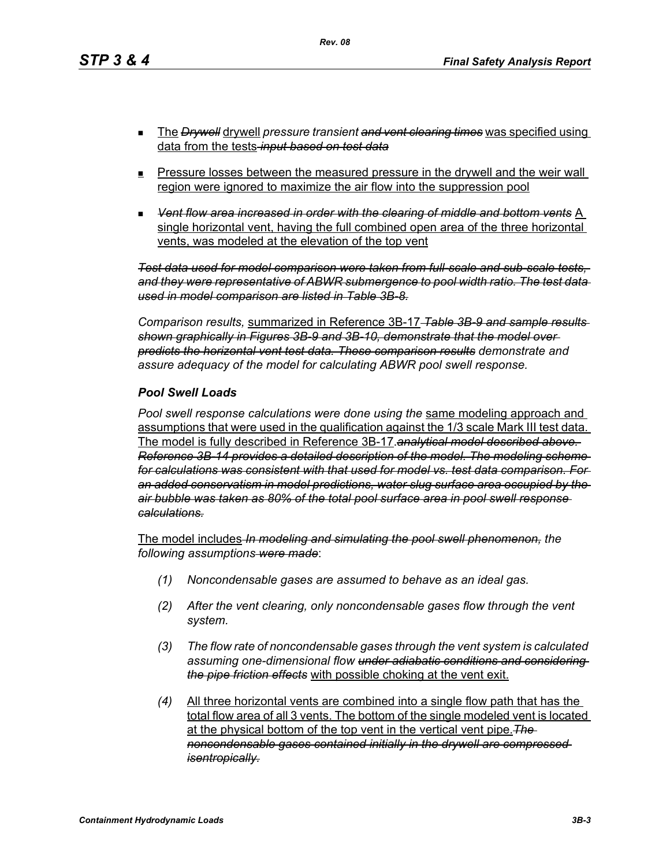- The *Drywell* drywell *pressure transient and vent clearing times* was specified using data from the tests *input based on test data*
- **Pressure losses between the measured pressure in the drywell and the weir wall** region were ignored to maximize the air flow into the suppression pool
- *Vent flow area increased in order with the clearing of middle and bottom vents* A single horizontal vent, having the full combined open area of the three horizontal vents, was modeled at the elevation of the top vent

*Test data used for model comparison were taken from full-scale and sub-scale tests, and they were representative of ABWR submergence to pool width ratio. The test data used in model comparison are listed in Table 3B-8.*

*Comparison results,* summarized in Reference 3B-17 *Table 3B-9 and sample results shown graphically in Figures 3B-9 and 3B-10, demonstrate that the model over predicts the horizontal vent test data. These comparison results demonstrate and assure adequacy of the model for calculating ABWR pool swell response.*

#### *Pool Swell Loads*

*Pool swell response calculations were done using the* same modeling approach and assumptions that were used in the qualification against the 1/3 scale Mark III test data. The model is fully described in Reference 3B-17.*analytical model described above. Reference 3B-14 provides a detailed description of the model. The modeling scheme for calculations was consistent with that used for model vs. test data comparison. For an added conservatism in model predictions, water slug surface area occupied by the air bubble was taken as 80% of the total pool surface area in pool swell response calculations.*

The model includes *In modeling and simulating the pool swell phenomenon, the following assumptions were made*:

- *(1) Noncondensable gases are assumed to behave as an ideal gas.*
- *(2) After the vent clearing, only noncondensable gases flow through the vent system.*
- *(3) The flow rate of noncondensable gases through the vent system is calculated assuming one-dimensional flow under adiabatic conditions and considering the pipe friction effects* with possible choking at the vent exit.
- *(4)* All three horizontal vents are combined into a single flow path that has the total flow area of all 3 vents. The bottom of the single modeled vent is located at the physical bottom of the top vent in the vertical vent pipe.*The noncondensable gases contained initially in the drywell are compressed isentropically.*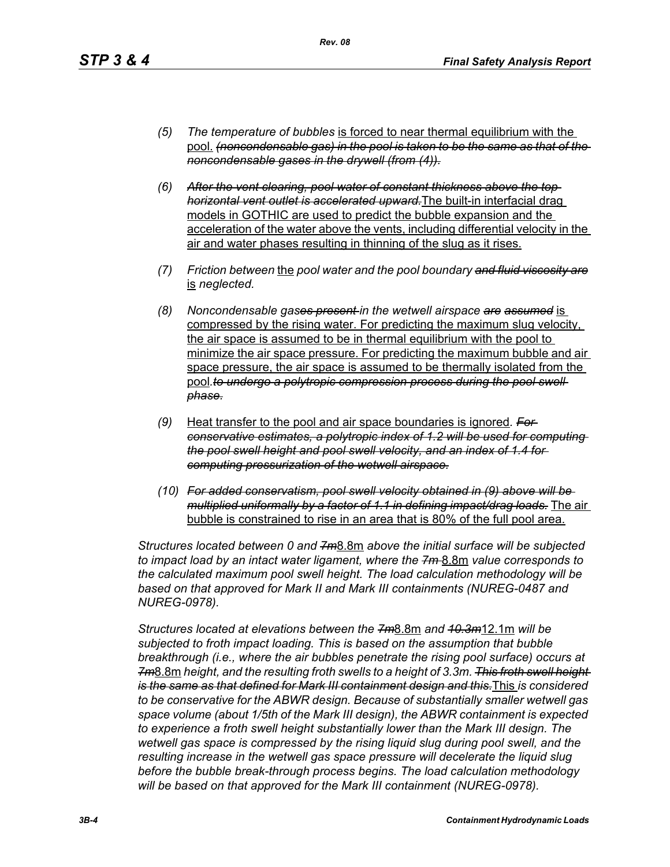- *(5) The temperature of bubbles* is forced to near thermal equilibrium with the pool. *(noncondensable gas) in the pool is taken to be the same as that of the noncondensable gases in the drywell (from (4)).*
- *(6) After the vent clearing, pool water of constant thickness above the top horizontal vent outlet is accelerated upward.*The built-in interfacial drag models in GOTHIC are used to predict the bubble expansion and the acceleration of the water above the vents, including differential velocity in the air and water phases resulting in thinning of the slug as it rises.
- *(7) Friction between* the *pool water and the pool boundary and fluid viscosity are* is *neglected.*
- *(8) Noncondensable gases present in the wetwell airspace are assumed* is compressed by the rising water. For predicting the maximum slug velocity, the air space is assumed to be in thermal equilibrium with the pool to minimize the air space pressure. For predicting the maximum bubble and air space pressure, the air space is assumed to be thermally isolated from the pool.to undergo a polytropic compression process during the pool swell *phase.*
- *(9)* Heat transfer to the pool and air space boundaries is ignored*. For conservative estimates, a polytropic index of 1.2 will be used for computing the pool swell height and pool swell velocity, and an index of 1.4 for computing pressurization of the wetwell airspace.*
- *(10) For added conservatism, pool swell velocity obtained in (9) above will be multiplied uniformally by a factor of 1.1 in defining impact/drag loads.* The air bubble is constrained to rise in an area that is 80% of the full pool area.

*Structures located between 0 and 7m*8.8m *above the initial surface will be subjected to impact load by an intact water ligament, where the 7m* 8.8m *value corresponds to the calculated maximum pool swell height. The load calculation methodology will be based on that approved for Mark II and Mark III containments (NUREG-0487 and NUREG-0978).*

*Structures located at elevations between the 7m*8.8m *and 10.3m*12.1m *will be subjected to froth impact loading. This is based on the assumption that bubble breakthrough (i.e., where the air bubbles penetrate the rising pool surface) occurs at 7m*8.8m *height, and the resulting froth swells to a height of 3.3m. This froth swell height is the same as that defined for Mark III containment design and this.*This *is considered to be conservative for the ABWR design. Because of substantially smaller wetwell gas space volume (about 1/5th of the Mark III design), the ABWR containment is expected to experience a froth swell height substantially lower than the Mark III design. The wetwell gas space is compressed by the rising liquid slug during pool swell, and the resulting increase in the wetwell gas space pressure will decelerate the liquid slug before the bubble break-through process begins. The load calculation methodology will be based on that approved for the Mark III containment (NUREG-0978).*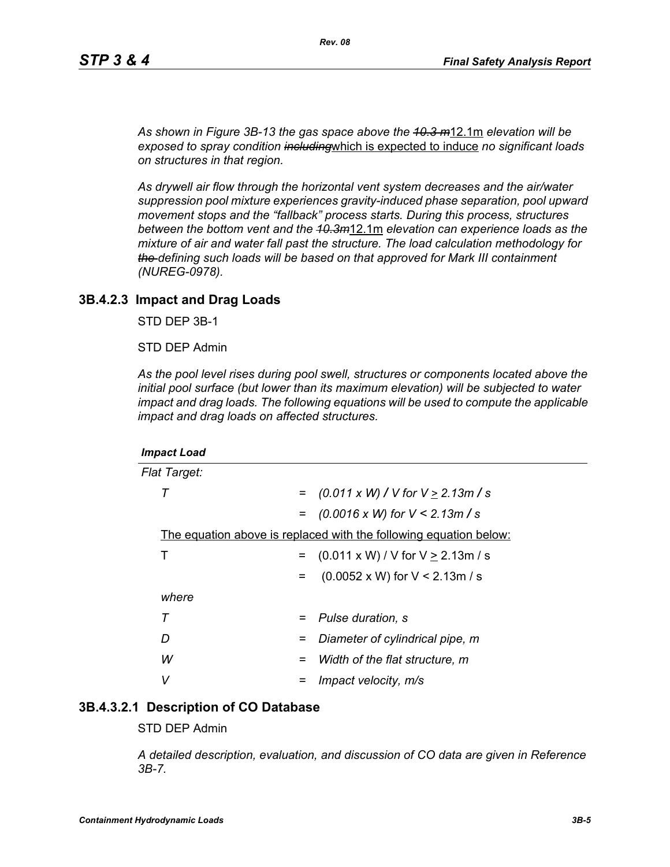*As shown in Figure 3B-13 the gas space above the 10.3 m*12.1m *elevation will be exposed to spray condition including*which is expected to induce *no significant loads on structures in that region.* 

*As drywell air flow through the horizontal vent system decreases and the air/water suppression pool mixture experiences gravity-induced phase separation, pool upward movement stops and the "fallback" process starts. During this process, structures between the bottom vent and the 10.3m*12.1m *elevation can experience loads as the mixture of air and water fall past the structure. The load calculation methodology for the defining such loads will be based on that approved for Mark III containment (NUREG-0978).*

#### **3B.4.2.3 Impact and Drag Loads**

STD DEP 3B-1

STD DEP Admin

*As the pool level rises during pool swell, structures or components located above the initial pool surface (but lower than its maximum elevation) will be subjected to water impact and drag loads. The following equations will be used to compute the applicable impact and drag loads on affected structures.*

| <b>Impact Load</b>                                                |     |                                               |  |
|-------------------------------------------------------------------|-----|-----------------------------------------------|--|
| <b>Flat Target:</b>                                               |     |                                               |  |
| т                                                                 | $=$ | $(0.011 \times W)$ / V for V $\geq$ 2.13m / s |  |
|                                                                   | $=$ | $(0.0016 \times W)$ for $V < 2.13m/s$         |  |
| The equation above is replaced with the following equation below: |     |                                               |  |
| Т                                                                 | $=$ | $(0.011 \times W) / V$ for $V \ge 2.13$ m / s |  |
|                                                                   | $=$ | $(0.0052 \times W)$ for V < 2.13m / s         |  |
| where                                                             |     |                                               |  |
| Τ                                                                 | $=$ | Pulse duration, s                             |  |
| D                                                                 | =   | Diameter of cylindrical pipe, m               |  |
| W                                                                 | =   | Width of the flat structure, m                |  |
| v                                                                 |     | Impact velocity, m/s                          |  |

#### **3B.4.3.2.1 Description of CO Database**

STD DEP Admin

*A detailed description, evaluation, and discussion of CO data are given in Reference 3B-7.*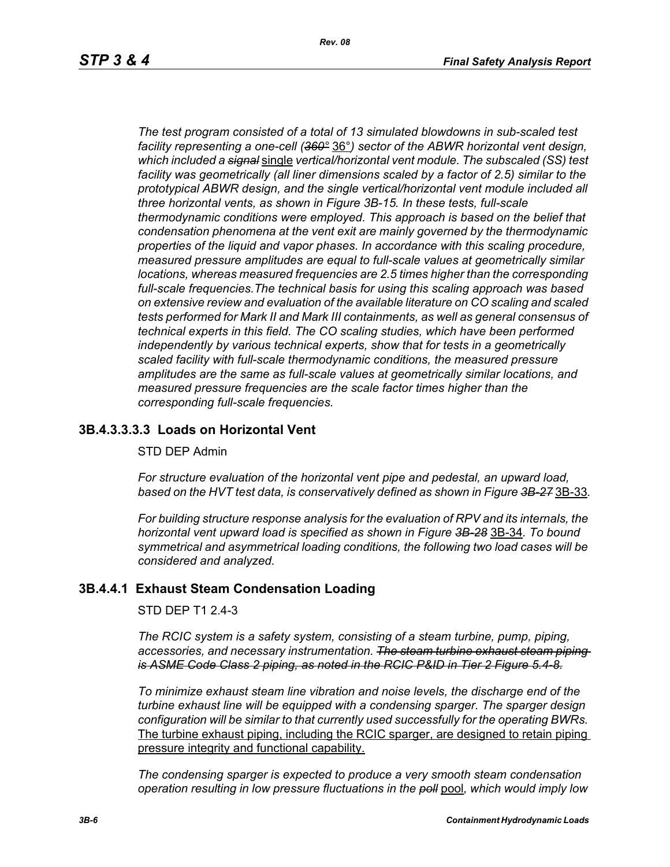*The test program consisted of a total of 13 simulated blowdowns in sub-scaled test facility representing a one-cell (360°* 36°*) sector of the ABWR horizontal vent design, which included a signal* single *vertical/horizontal vent module. The subscaled (SS) test facility was geometrically (all liner dimensions scaled by a factor of 2.5) similar to the prototypical ABWR design, and the single vertical/horizontal vent module included all three horizontal vents, as shown in Figure 3B-15. In these tests, full-scale thermodynamic conditions were employed. This approach is based on the belief that condensation phenomena at the vent exit are mainly governed by the thermodynamic properties of the liquid and vapor phases. In accordance with this scaling procedure, measured pressure amplitudes are equal to full-scale values at geometrically similar locations, whereas measured frequencies are 2.5 times higher than the corresponding full-scale frequencies.The technical basis for using this scaling approach was based on extensive review and evaluation of the available literature on CO scaling and scaled tests performed for Mark II and Mark III containments, as well as general consensus of technical experts in this field. The CO scaling studies, which have been performed independently by various technical experts, show that for tests in a geometrically scaled facility with full-scale thermodynamic conditions, the measured pressure amplitudes are the same as full-scale values at geometrically similar locations, and measured pressure frequencies are the scale factor times higher than the corresponding full-scale frequencies.*

## **3B.4.3.3.3.3 Loads on Horizontal Vent**

#### STD DEP Admin

*For structure evaluation of the horizontal vent pipe and pedestal, an upward load, based on the HVT test data, is conservatively defined as shown in Figure 3B-27* 3B-33*.*

*For building structure response analysis for the evaluation of RPV and its internals, the horizontal vent upward load is specified as shown in Figure 3B-28* 3B-34*. To bound symmetrical and asymmetrical loading conditions, the following two load cases will be considered and analyzed.*

#### **3B.4.4.1 Exhaust Steam Condensation Loading**

STD DEP T1 2.4-3

*The RCIC system is a safety system, consisting of a steam turbine, pump, piping, accessories, and necessary instrumentation. The steam turbine exhaust steam piping is ASME Code Class 2 piping, as noted in the RCIC P&ID in Tier 2 Figure 5.4-8.*

*To minimize exhaust steam line vibration and noise levels, the discharge end of the turbine exhaust line will be equipped with a condensing sparger. The sparger design configuration will be similar to that currently used successfully for the operating BWRs.* The turbine exhaust piping, including the RCIC sparger, are designed to retain piping pressure integrity and functional capability.

*The condensing sparger is expected to produce a very smooth steam condensation operation resulting in low pressure fluctuations in the poll* pool*, which would imply low*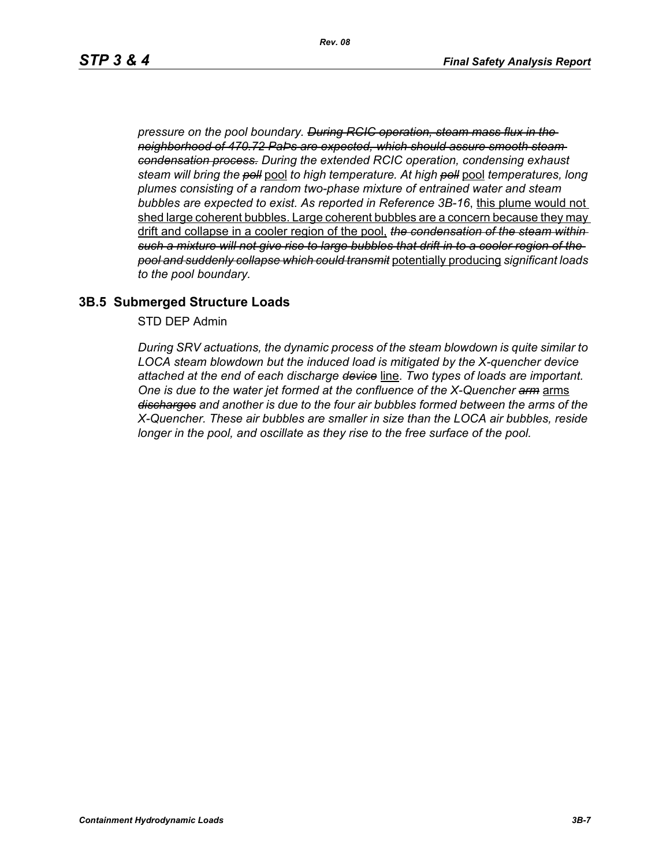*pressure on the pool boundary. During RCIC operation, steam mass flux in the neighborhood of 470.72 PaÞs are expected, which should assure smooth steam condensation process. During the extended RCIC operation, condensing exhaust steam will bring the poll* pool *to high temperature. At high poll* pool *temperatures, long plumes consisting of a random two-phase mixture of entrained water and steam bubbles are expected to exist. As reported in Reference 3B-16*, this plume would not shed large coherent bubbles. Large coherent bubbles are a concern because they may drift and collapse in a cooler region of the pool, *the condensation of the steam within such a mixture will not give rise to large bubbles that drift in to a cooler region of the pool and suddenly collapse which could transmit* potentially producing *significant loads to the pool boundary.*

### **3B.5 Submerged Structure Loads**

STD DEP Admin

*During SRV actuations, the dynamic process of the steam blowdown is quite similar to LOCA steam blowdown but the induced load is mitigated by the X-quencher device attached at the end of each discharge device* line. *Two types of loads are important. One is due to the water jet formed at the confluence of the X-Quencher arm* arms *discharges and another is due to the four air bubbles formed between the arms of the X-Quencher. These air bubbles are smaller in size than the LOCA air bubbles, reside longer in the pool, and oscillate as they rise to the free surface of the pool.*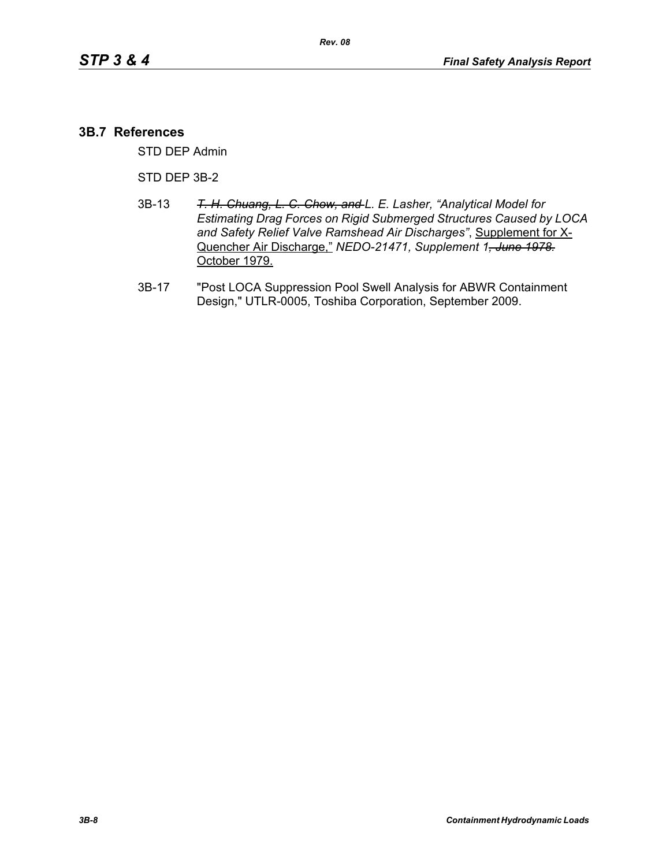#### **3B.7 References**

STD DEP Admin

STD DEP 3B-2

- 3B-13 *T. H. Chuang, L. C. Chow, and L. E. Lasher, "Analytical Model for Estimating Drag Forces on Rigid Submerged Structures Caused by LOCA and Safety Relief Valve Ramshead Air Discharges"*, Supplement for X-Quencher Air Discharge," *NEDO-21471, Supplement 1, June 1978.* October 1979.
- 3B-17 "Post LOCA Suppression Pool Swell Analysis for ABWR Containment Design," UTLR-0005, Toshiba Corporation, September 2009.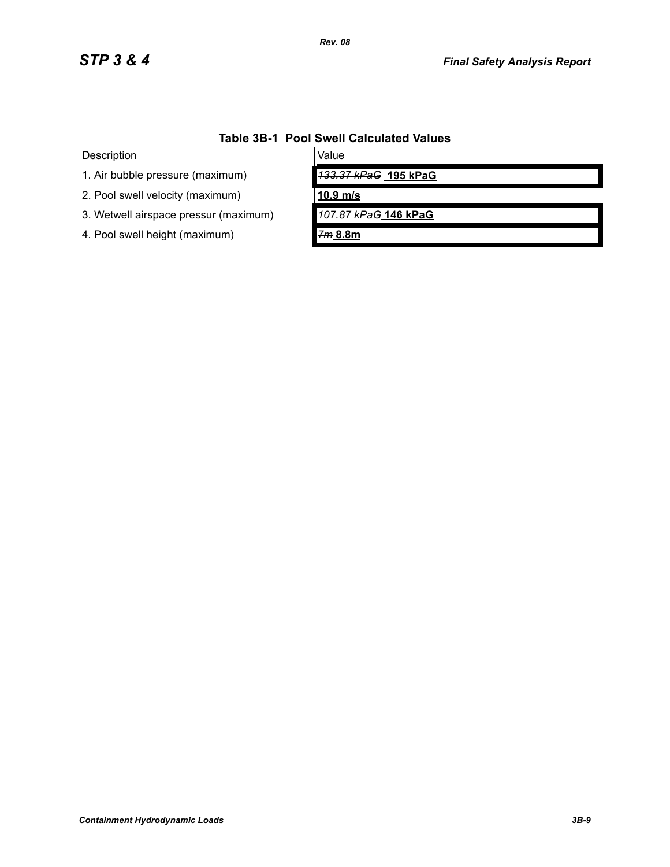| Description                           | Value                |  |  |  |
|---------------------------------------|----------------------|--|--|--|
| 1. Air bubble pressure (maximum)      | 133.37 kPaG 195 kPaG |  |  |  |
| 2. Pool swell velocity (maximum)      | $10.9$ m/s           |  |  |  |
| 3. Wetwell airspace pressur (maximum) | 107.87 kPaG 146 kPaG |  |  |  |
| 4. Pool swell height (maximum)        | 7m 8.8m              |  |  |  |

# **Table 3B-1 Pool Swell Calculated Values**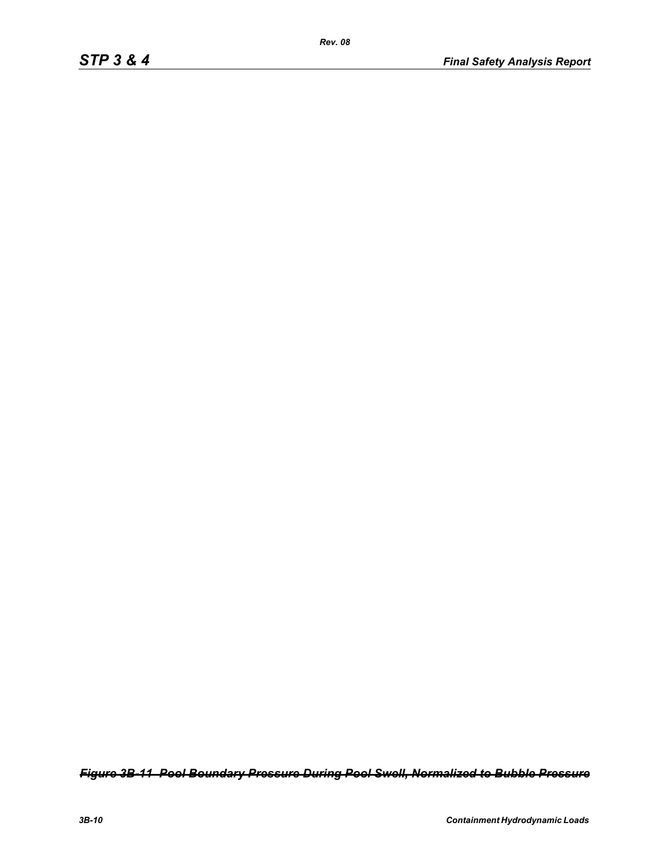*Figure 3B-11 Pool Boundary Pressure During Pool Swell, Normalized to Bubble Pressure*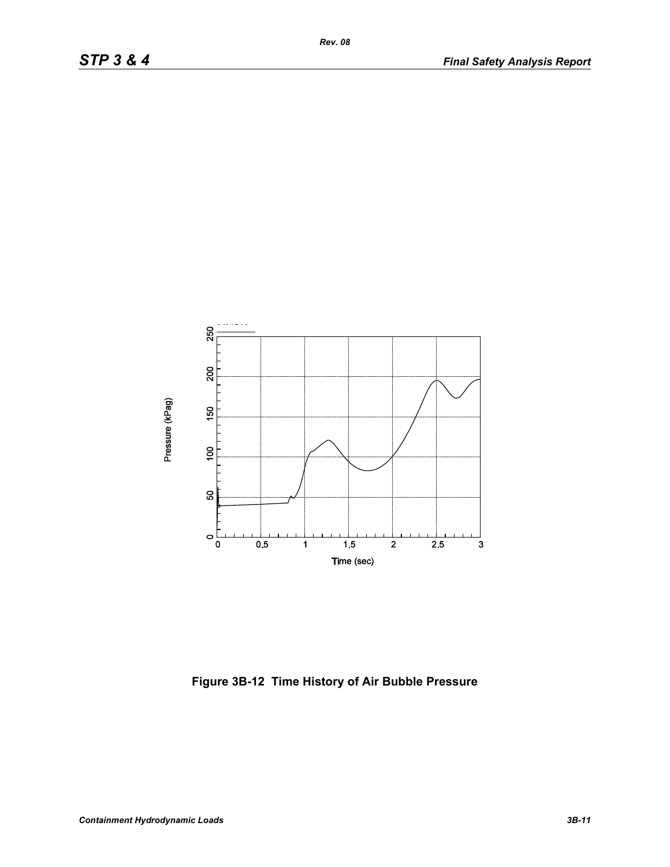

**Figure 3B-12 Time History of Air Bubble Pressure**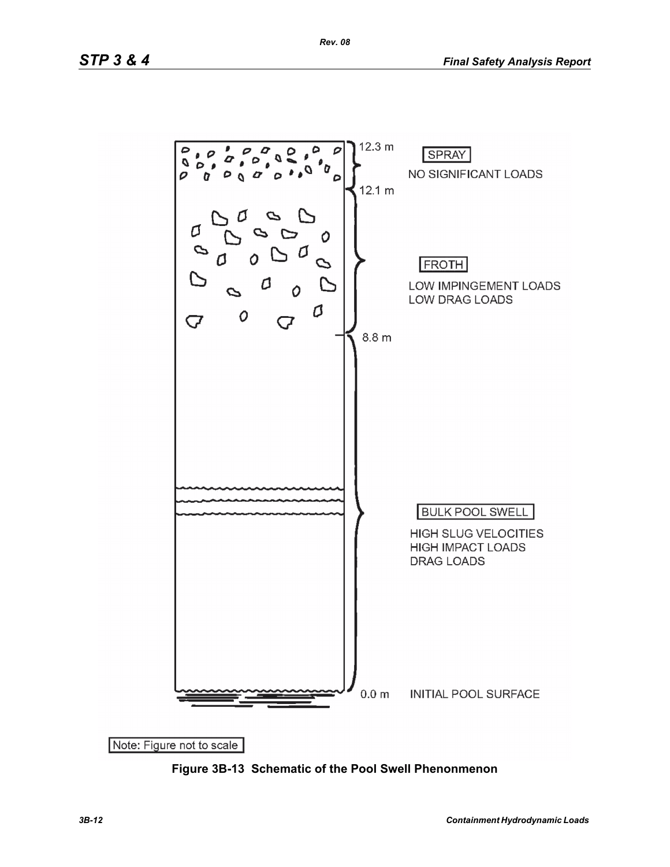

**Figure 3B-13 Schematic of the Pool Swell Phenonmenon**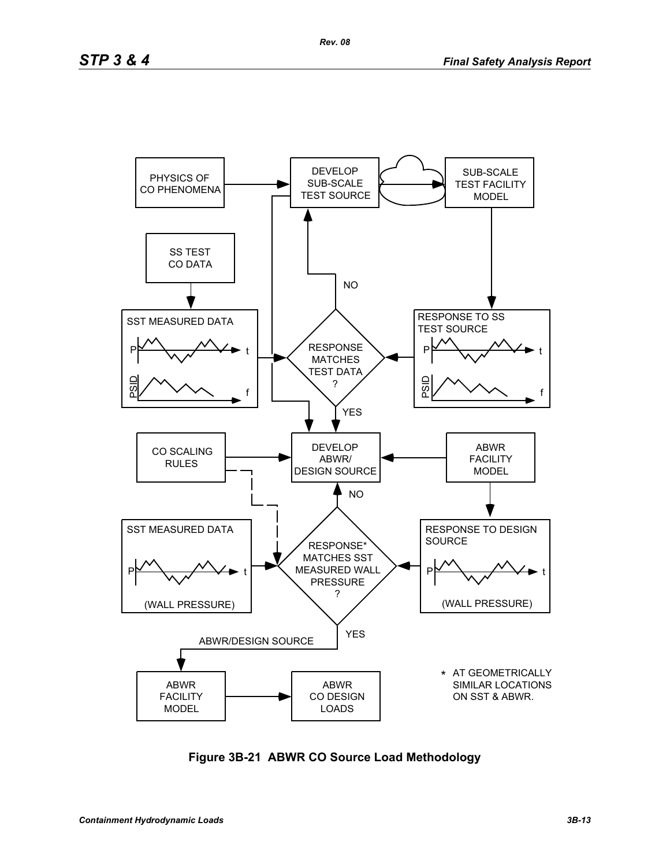

**Figure 3B-21 ABWR CO Source Load Methodology**